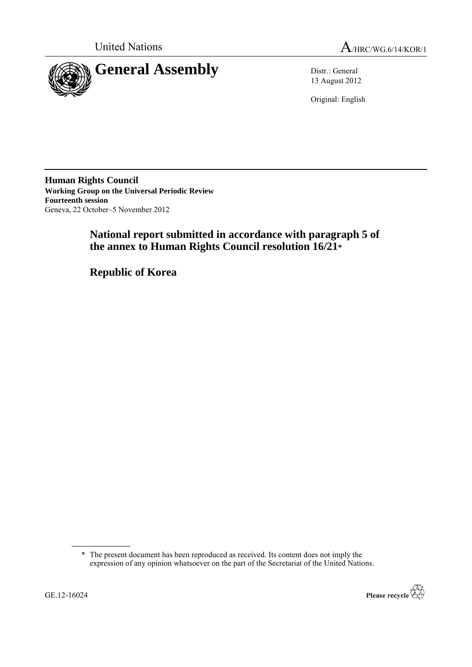



13 August 2012

Original: English

**Human Rights Council Working Group on the Universal Periodic Review Fourteenth session** Geneva, 22 October–5 November 2012

# **National report submitted in accordance with paragraph 5 of the annex to Human Rights Council resolution 16/21\***

**Republic of Korea**

<sup>\*</sup> The present document has been reproduced as received. Its content does not imply the expression of any opinion whatsoever on the part of the Secretariat of the United Nations.

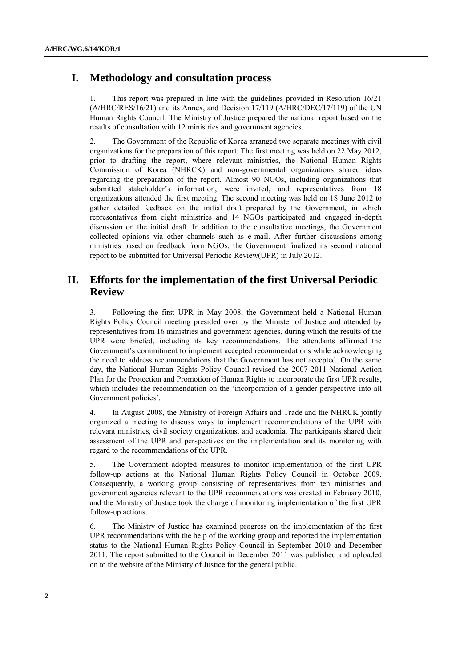# **I. Methodology and consultation process**

1. This report was prepared in line with the guidelines provided in Resolution 16/21 (A/HRC/RES/16/21) and its Annex, and Decision 17/119 (A/HRC/DEC/17/119) of the UN Human Rights Council. The Ministry of Justice prepared the national report based on the results of consultation with 12 ministries and government agencies.

2. The Government of the Republic of Korea arranged two separate meetings with civil organizations for the preparation of this report. The first meeting was held on 22 May 2012, prior to drafting the report, where relevant ministries, the National Human Rights Commission of Korea (NHRCK) and non-governmental organizations shared ideas regarding the preparation of the report. Almost 90 NGOs, including organizations that submitted stakeholder"s information, were invited, and representatives from 18 organizations attended the first meeting. The second meeting was held on 18 June 2012 to gather detailed feedback on the initial draft prepared by the Government, in which representatives from eight ministries and 14 NGOs participated and engaged in-depth discussion on the initial draft. In addition to the consultative meetings, the Government collected opinions via other channels such as e-mail. After further discussions among ministries based on feedback from NGOs, the Government finalized its second national report to be submitted for Universal Periodic Review(UPR) in July 2012.

# **II. Efforts for the implementation of the first Universal Periodic Review**

3. Following the first UPR in May 2008, the Government held a National Human Rights Policy Council meeting presided over by the Minister of Justice and attended by representatives from 16 ministries and government agencies, during which the results of the UPR were briefed, including its key recommendations. The attendants affirmed the Government's commitment to implement accepted recommendations while acknowledging the need to address recommendations that the Government has not accepted. On the same day, the National Human Rights Policy Council revised the 2007-2011 National Action Plan for the Protection and Promotion of Human Rights to incorporate the first UPR results, which includes the recommendation on the "incorporation of a gender perspective into all Government policies'.

4. In August 2008, the Ministry of Foreign Affairs and Trade and the NHRCK jointly organized a meeting to discuss ways to implement recommendations of the UPR with relevant ministries, civil society organizations, and academia. The participants shared their assessment of the UPR and perspectives on the implementation and its monitoring with regard to the recommendations of the UPR.

5. The Government adopted measures to monitor implementation of the first UPR follow-up actions at the National Human Rights Policy Council in October 2009. Consequently, a working group consisting of representatives from ten ministries and government agencies relevant to the UPR recommendations was created in February 2010, and the Ministry of Justice took the charge of monitoring implementation of the first UPR follow-up actions.

6. The Ministry of Justice has examined progress on the implementation of the first UPR recommendations with the help of the working group and reported the implementation status to the National Human Rights Policy Council in September 2010 and December 2011. The report submitted to the Council in December 2011 was published and uploaded on to the website of the Ministry of Justice for the general public.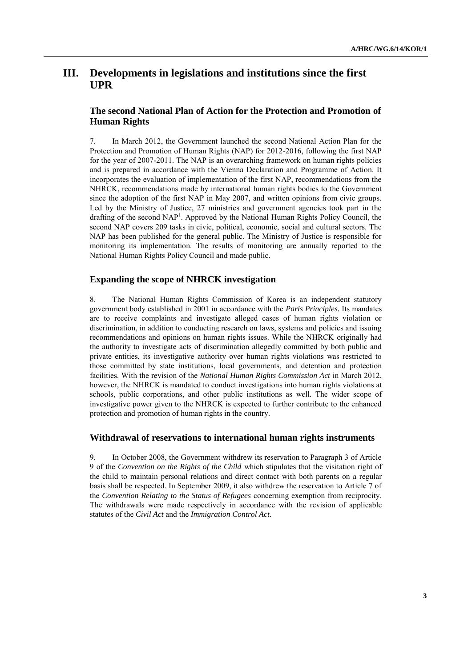# **III. Developments in legislations and institutions since the first UPR**

### **The second National Plan of Action for the Protection and Promotion of Human Rights**

7. In March 2012, the Government launched the second National Action Plan for the Protection and Promotion of Human Rights (NAP) for 2012-2016, following the first NAP for the year of 2007-2011. The NAP is an overarching framework on human rights policies and is prepared in accordance with the Vienna Declaration and Programme of Action. It incorporates the evaluation of implementation of the first NAP, recommendations from the NHRCK, recommendations made by international human rights bodies to the Government since the adoption of the first NAP in May 2007, and written opinions from civic groups. Led by the Ministry of Justice, 27 ministries and government agencies took part in the drafting of the second NAP<sup>1</sup>. Approved by the National Human Rights Policy Council, the second NAP covers 209 tasks in civic, political, economic, social and cultural sectors. The NAP has been published for the general public. The Ministry of Justice is responsible for monitoring its implementation. The results of monitoring are annually reported to the National Human Rights Policy Council and made public.

### **Expanding the scope of NHRCK investigation**

8. The National Human Rights Commission of Korea is an independent statutory government body established in 2001 in accordance with the *Paris Principles.* Its mandates are to receive complaints and investigate alleged cases of human rights violation or discrimination, in addition to conducting research on laws, systems and policies and issuing recommendations and opinions on human rights issues. While the NHRCK originally had the authority to investigate acts of discrimination allegedly committed by both public and private entities, its investigative authority over human rights violations was restricted to those committed by state institutions, local governments, and detention and protection facilities. With the revision of the *National Human Rights Commission Act* in March 2012, however, the NHRCK is mandated to conduct investigations into human rights violations at schools, public corporations, and other public institutions as well. The wider scope of investigative power given to the NHRCK is expected to further contribute to the enhanced protection and promotion of human rights in the country.

#### **Withdrawal of reservations to international human rights instruments**

9. In October 2008, the Government withdrew its reservation to Paragraph 3 of Article 9 of the *Convention on the Rights of the Child* which stipulates that the visitation right of the child to maintain personal relations and direct contact with both parents on a regular basis shall be respected. In September 2009, it also withdrew the reservation to Article 7 of the *Convention Relating to the Status of Refugees* concerning exemption from reciprocity. The withdrawals were made respectively in accordance with the revision of applicable statutes of the *Civil Act* and the *Immigration Control Act*.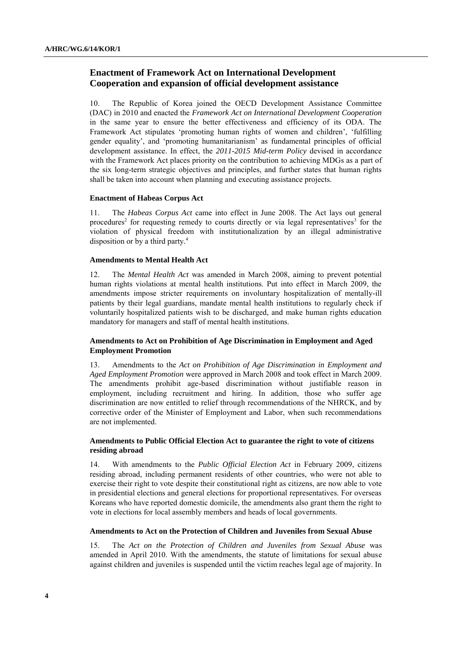## **Enactment of Framework Act on International Development Cooperation and expansion of official development assistance**

10. The Republic of Korea joined the OECD Development Assistance Committee (DAC) in 2010 and enacted the *Framework Act on International Development Cooperation* in the same year to ensure the better effectiveness and efficiency of its ODA. The Framework Act stipulates "promoting human rights of women and children", "fulfilling gender equality", and "promoting humanitarianism" as fundamental principles of official development assistance. In effect, the *2011-2015 Mid-term Policy* devised in accordance with the Framework Act places priority on the contribution to achieving MDGs as a part of the six long-term strategic objectives and principles, and further states that human rights shall be taken into account when planning and executing assistance projects.

#### **Enactment of Habeas Corpus Act**

11. The *Habeas Corpus Act* came into effect in June 2008. The Act lays out general procedures<sup>2</sup> for requesting remedy to courts directly or via legal representatives<sup>3</sup> for the violation of physical freedom with institutionalization by an illegal administrative disposition or by a third party.<sup>4</sup>

#### **Amendments to Mental Health Act**

12. The *Mental Health Act* was amended in March 2008, aiming to prevent potential human rights violations at mental health institutions. Put into effect in March 2009, the amendments impose stricter requirements on involuntary hospitalization of mentally-ill patients by their legal guardians, mandate mental health institutions to regularly check if voluntarily hospitalized patients wish to be discharged, and make human rights education mandatory for managers and staff of mental health institutions.

#### **Amendments to Act on Prohibition of Age Discrimination in Employment and Aged Employment Promotion**

13. Amendments to the *Act on Prohibition of Age Discrimination in Employment and Aged Employment Promotion* were approved in March 2008 and took effect in March 2009. The amendments prohibit age-based discrimination without justifiable reason in employment, including recruitment and hiring. In addition, those who suffer age discrimination are now entitled to relief through recommendations of the NHRCK, and by corrective order of the Minister of Employment and Labor, when such recommendations are not implemented.

#### **Amendments to Public Official Election Act to guarantee the right to vote of citizens residing abroad**

14. With amendments to the *Public Official Election Act* in February 2009, citizens residing abroad, including permanent residents of other countries, who were not able to exercise their right to vote despite their constitutional right as citizens, are now able to vote in presidential elections and general elections for proportional representatives. For overseas Koreans who have reported domestic domicile, the amendments also grant them the right to vote in elections for local assembly members and heads of local governments.

#### **Amendments to Act on the Protection of Children and Juveniles from Sexual Abuse**

15. The *Act on the Protection of Children and Juveniles from Sexual Abuse* was amended in April 2010. With the amendments, the statute of limitations for sexual abuse against children and juveniles is suspended until the victim reaches legal age of majority. In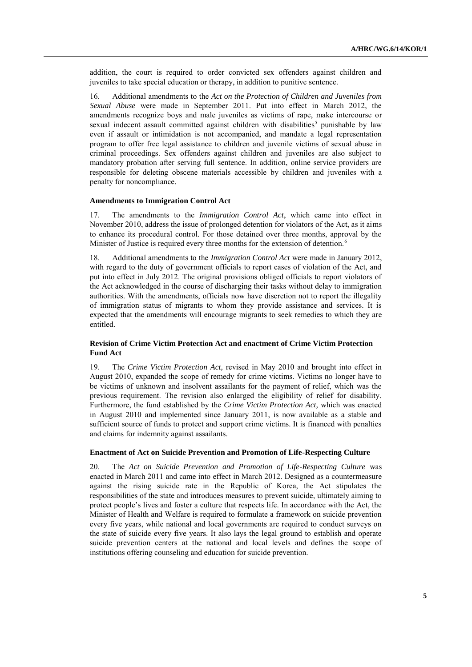addition, the court is required to order convicted sex offenders against children and juveniles to take special education or therapy, in addition to punitive sentence.

16. Additional amendments to the *Act on the Protection of Children and Juveniles from Sexual Abuse* were made in September 2011. Put into effect in March 2012, the amendments recognize boys and male juveniles as victims of rape, make intercourse or sexual indecent assault committed against children with disabilities<sup>5</sup> punishable by law even if assault or intimidation is not accompanied, and mandate a legal representation program to offer free legal assistance to children and juvenile victims of sexual abuse in criminal proceedings. Sex offenders against children and juveniles are also subject to mandatory probation after serving full sentence. In addition, online service providers are responsible for deleting obscene materials accessible by children and juveniles with a penalty for noncompliance.

#### **Amendments to Immigration Control Act**

17. The amendments to the *Immigration Control Act*, which came into effect in November 2010, address the issue of prolonged detention for violators of the Act, as it aims to enhance its procedural control. For those detained over three months, approval by the Minister of Justice is required every three months for the extension of detention.<sup>6</sup>

18. Additional amendments to the *Immigration Control Act* were made in January 2012, with regard to the duty of government officials to report cases of violation of the Act, and put into effect in July 2012. The original provisions obliged officials to report violators of the Act acknowledged in the course of discharging their tasks without delay to immigration authorities. With the amendments, officials now have discretion not to report the illegality of immigration status of migrants to whom they provide assistance and services. It is expected that the amendments will encourage migrants to seek remedies to which they are entitled.

#### **Revision of Crime Victim Protection Act and enactment of Crime Victim Protection Fund Act**

19. The *Crime Victim Protection Act,* revised in May 2010 and brought into effect in August 2010, expanded the scope of remedy for crime victims. Victims no longer have to be victims of unknown and insolvent assailants for the payment of relief, which was the previous requirement. The revision also enlarged the eligibility of relief for disability. Furthermore, the fund established by the *Crime Victim Protection Act,* which was enacted in August 2010 and implemented since January 2011, is now available as a stable and sufficient source of funds to protect and support crime victims. It is financed with penalties and claims for indemnity against assailants.

#### **Enactment of Act on Suicide Prevention and Promotion of Life-Respecting Culture**

20. The *Act on Suicide Prevention and Promotion of Life-Respecting Culture* was enacted in March 2011 and came into effect in March 2012. Designed as a countermeasure against the rising suicide rate in the Republic of Korea, the Act stipulates the responsibilities of the state and introduces measures to prevent suicide, ultimately aiming to protect people"s lives and foster a culture that respects life. In accordance with the Act, the Minister of Health and Welfare is required to formulate a framework on suicide prevention every five years, while national and local governments are required to conduct surveys on the state of suicide every five years. It also lays the legal ground to establish and operate suicide prevention centers at the national and local levels and defines the scope of institutions offering counseling and education for suicide prevention.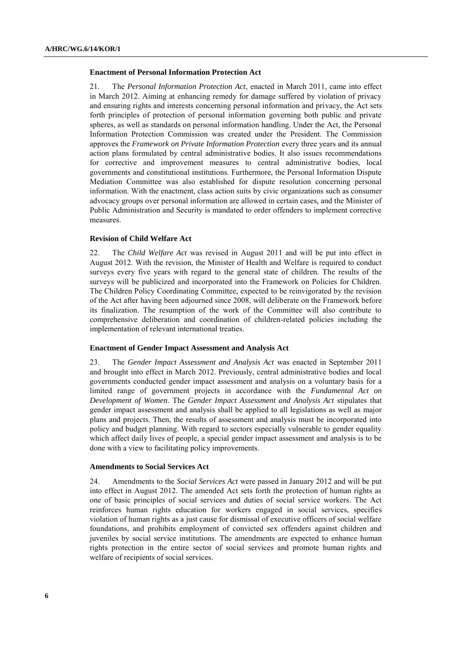#### **Enactment of Personal Information Protection Act**

21. The *Personal Information Protection Act*, enacted in March 2011, came into effect in March 2012. Aiming at enhancing remedy for damage suffered by violation of privacy and ensuring rights and interests concerning personal information and privacy, the Act sets forth principles of protection of personal information governing both public and private spheres, as well as standards on personal information handling. Under the Act, the Personal Information Protection Commission was created under the President. The Commission approves the *Framework on Private Information Protection* every three years and its annual action plans formulated by central administrative bodies. It also issues recommendations for corrective and improvement measures to central administrative bodies, local governments and constitutional institutions. Furthermore, the Personal Information Dispute Mediation Committee was also established for dispute resolution concerning personal information. With the enactment, class action suits by civic organizations such as consumer advocacy groups over personal information are allowed in certain cases, and the Minister of Public Administration and Security is mandated to order offenders to implement corrective measures.

#### **Revision of Child Welfare Act**

22. The *Child Welfare Act* was revised in August 2011 and will be put into effect in August 2012. With the revision, the Minister of Health and Welfare is required to conduct surveys every five years with regard to the general state of children. The results of the surveys will be publicized and incorporated into the Framework on Policies for Children. The Children Policy Coordinating Committee, expected to be reinvigorated by the revision of the Act after having been adjourned since 2008, will deliberate on the Framework before its finalization. The resumption of the work of the Committee will also contribute to comprehensive deliberation and coordination of children-related policies including the implementation of relevant international treaties.

#### **Enactment of Gender Impact Assessment and Analysis Act**

23. The *Gender Impact Assessment and Analysis Act* was enacted in September 2011 and brought into effect in March 2012. Previously, central administrative bodies and local governments conducted gender impact assessment and analysis on a voluntary basis for a limited range of government projects in accordance with the *Fundamental Act on Development of Women*. The *Gender Impact Assessment and Analysis Act* stipulates that gender impact assessment and analysis shall be applied to all legislations as well as major plans and projects. Then, the results of assessment and analysis must be incorporated into policy and budget planning. With regard to sectors especially vulnerable to gender equality which affect daily lives of people, a special gender impact assessment and analysis is to be done with a view to facilitating policy improvements.

#### **Amendments to Social Services Act**

24. Amendments to the *Social Services Act* were passed in January 2012 and will be put into effect in August 2012. The amended Act sets forth the protection of human rights as one of basic principles of social services and duties of social service workers. The Act reinforces human rights education for workers engaged in social services, specifies violation of human rights as a just cause for dismissal of executive officers of social welfare foundations, and prohibits employment of convicted sex offenders against children and juveniles by social service institutions. The amendments are expected to enhance human rights protection in the entire sector of social services and promote human rights and welfare of recipients of social services.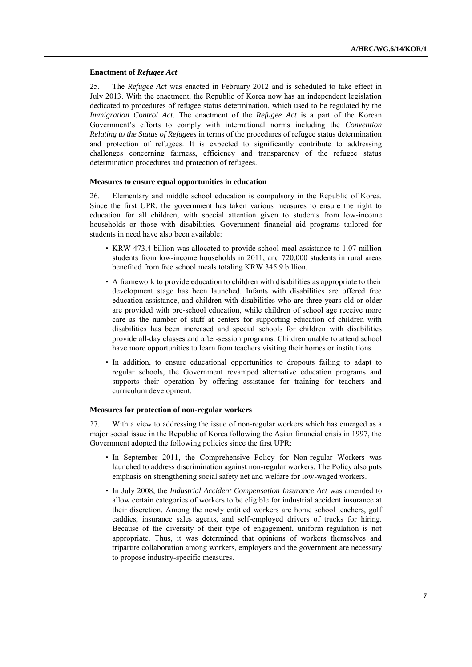#### **Enactment of** *Refugee Act*

25. The *Refugee Act* was enacted in February 2012 and is scheduled to take effect in July 2013. With the enactment, the Republic of Korea now has an independent legislation dedicated to procedures of refugee status determination, which used to be regulated by the *Immigration Control Act*. The enactment of the *Refugee Act* is a part of the Korean Government"s efforts to comply with international norms including the *Convention Relating to the Status of Refugees* in terms of the procedures of refugee status determination and protection of refugees. It is expected to significantly contribute to addressing challenges concerning fairness, efficiency and transparency of the refugee status determination procedures and protection of refugees.

#### **Measures to ensure equal opportunities in education**

26. Elementary and middle school education is compulsory in the Republic of Korea. Since the first UPR, the government has taken various measures to ensure the right to education for all children, with special attention given to students from low-income households or those with disabilities. Government financial aid programs tailored for students in need have also been available:

- KRW 473.4 billion was allocated to provide school meal assistance to 1.07 million students from low-income households in 2011, and 720,000 students in rural areas benefited from free school meals totaling KRW 345.9 billion.
- A framework to provide education to children with disabilities as appropriate to their development stage has been launched. Infants with disabilities are offered free education assistance, and children with disabilities who are three years old or older are provided with pre-school education, while children of school age receive more care as the number of staff at centers for supporting education of children with disabilities has been increased and special schools for children with disabilities provide all-day classes and after-session programs. Children unable to attend school have more opportunities to learn from teachers visiting their homes or institutions.
- In addition, to ensure educational opportunities to dropouts failing to adapt to regular schools, the Government revamped alternative education programs and supports their operation by offering assistance for training for teachers and curriculum development.

#### **Measures for protection of non-regular workers**

27. With a view to addressing the issue of non-regular workers which has emerged as a major social issue in the Republic of Korea following the Asian financial crisis in 1997, the Government adopted the following policies since the first UPR:

- In September 2011, the Comprehensive Policy for Non-regular Workers was launched to address discrimination against non-regular workers. The Policy also puts emphasis on strengthening social safety net and welfare for low-waged workers.
- In July 2008, the *Industrial Accident Compensation Insurance Act* was amended to allow certain categories of workers to be eligible for industrial accident insurance at their discretion. Among the newly entitled workers are home school teachers, golf caddies, insurance sales agents, and self-employed drivers of trucks for hiring. Because of the diversity of their type of engagement, uniform regulation is not appropriate. Thus, it was determined that opinions of workers themselves and tripartite collaboration among workers, employers and the government are necessary to propose industry-specific measures.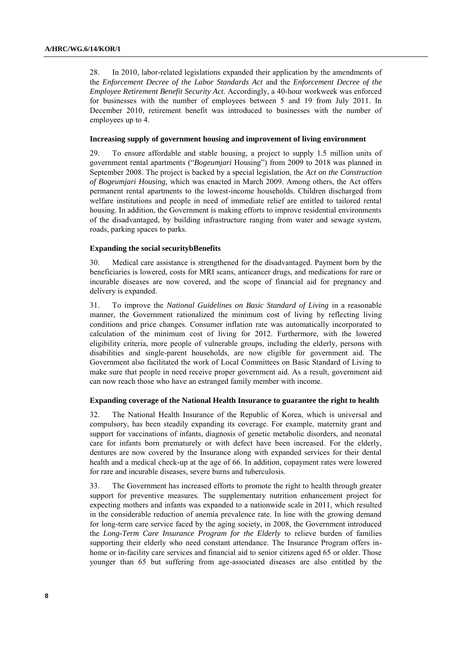28. In 2010, labor-related legislations expanded their application by the amendments of the *Enforcement Decree of the Labor Standards Act* and the *Enforcement Decree of the Employee Retirement Benefit Security Act*. Accordingly, a 40-hour workweek was enforced for businesses with the number of employees between 5 and 19 from July 2011. In December 2010, retirement benefit was introduced to businesses with the number of employees up to 4.

#### **Increasing supply of government housing and improvement of living environment**

29. To ensure affordable and stable housing, a project to supply 1.5 million units of government rental apartments ("*Bogeumjari* Housing") from 2009 to 2018 was planned in September 2008. The project is backed by a special legislation, the *Act on the Construction of Bogeumjari Housing,* which was enacted in March 2009. Among others, the Act offers permanent rental apartments to the lowest-income households. Children discharged from welfare institutions and people in need of immediate relief are entitled to tailored rental housing. In addition, the Government is making efforts to improve residential environments of the disadvantaged, by building infrastructure ranging from water and sewage system, roads, parking spaces to parks.

#### **Expanding the social securitybBenefits**

30. Medical care assistance is strengthened for the disadvantaged. Payment born by the beneficiaries is lowered, costs for MRI scans, anticancer drugs, and medications for rare or incurable diseases are now covered, and the scope of financial aid for pregnancy and delivery is expanded.

31. To improve the *National Guidelines on Basic Standard of Living* in a reasonable manner, the Government rationalized the minimum cost of living by reflecting living conditions and price changes. Consumer inflation rate was automatically incorporated to calculation of the minimum cost of living for 2012. Furthermore, with the lowered eligibility criteria, more people of vulnerable groups, including the elderly, persons with disabilities and single-parent households, are now eligible for government aid. The Government also facilitated the work of Local Committees on Basic Standard of Living to make sure that people in need receive proper government aid. As a result, government aid can now reach those who have an estranged family member with income.

#### **Expanding coverage of the National Health Insurance to guarantee the right to health**

32. The National Health Insurance of the Republic of Korea, which is universal and compulsory, has been steadily expanding its coverage. For example, maternity grant and support for vaccinations of infants, diagnosis of genetic metabolic disorders, and neonatal care for infants born prematurely or with defect have been increased. For the elderly, dentures are now covered by the Insurance along with expanded services for their dental health and a medical check-up at the age of 66. In addition, copayment rates were lowered for rare and incurable diseases, severe burns and tuberculosis.

33. The Government has increased efforts to promote the right to health through greater support for preventive measures. The supplementary nutrition enhancement project for expecting mothers and infants was expanded to a nationwide scale in 2011, which resulted in the considerable reduction of anemia prevalence rate. In line with the growing demand for long-term care service faced by the aging society, in 2008, the Government introduced the *Long-Term Care Insurance Program for the Elderly* to relieve burden of families supporting their elderly who need constant attendance. The Insurance Program offers inhome or in-facility care services and financial aid to senior citizens aged 65 or older. Those younger than 65 but suffering from age-associated diseases are also entitled by the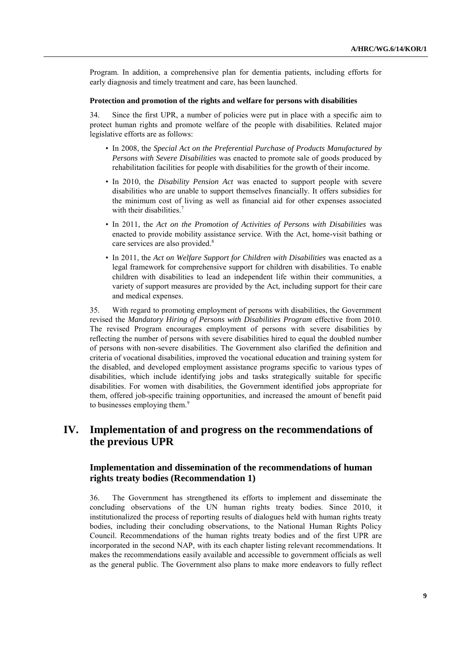Program. In addition, a comprehensive plan for dementia patients, including efforts for early diagnosis and timely treatment and care, has been launched.

#### **Protection and promotion of the rights and welfare for persons with disabilities**

34. Since the first UPR, a number of policies were put in place with a specific aim to protect human rights and promote welfare of the people with disabilities. Related major legislative efforts are as follows:

- In 2008, the *Special Act on the Preferential Purchase of Products Manufactured by Persons with Severe Disabilities* was enacted to promote sale of goods produced by rehabilitation facilities for people with disabilities for the growth of their income.
- In 2010, the *Disability Pension Act* was enacted to support people with severe disabilities who are unable to support themselves financially. It offers subsidies for the minimum cost of living as well as financial aid for other expenses associated with their disabilities.<sup>7</sup>
- In 2011, the *Act on the Promotion of Activities of Persons with Disabilities* was enacted to provide mobility assistance service. With the Act, home-visit bathing or care services are also provided.<sup>8</sup>
- In 2011, the *Act on Welfare Support for Children with Disabilities* was enacted as a legal framework for comprehensive support for children with disabilities. To enable children with disabilities to lead an independent life within their communities, a variety of support measures are provided by the Act, including support for their care and medical expenses.

35. With regard to promoting employment of persons with disabilities, the Government revised the *Mandatory Hiring of Persons with Disabilities Program* effective from 2010. The revised Program encourages employment of persons with severe disabilities by reflecting the number of persons with severe disabilities hired to equal the doubled number of persons with non-severe disabilities. The Government also clarified the definition and criteria of vocational disabilities, improved the vocational education and training system for the disabled, and developed employment assistance programs specific to various types of disabilities, which include identifying jobs and tasks strategically suitable for specific disabilities. For women with disabilities, the Government identified jobs appropriate for them, offered job-specific training opportunities, and increased the amount of benefit paid to businesses employing them.<sup>9</sup>

# **IV. Implementation of and progress on the recommendations of the previous UPR**

### **Implementation and dissemination of the recommendations of human rights treaty bodies (Recommendation 1)**

36. The Government has strengthened its efforts to implement and disseminate the concluding observations of the UN human rights treaty bodies. Since 2010, it institutionalized the process of reporting results of dialogues held with human rights treaty bodies, including their concluding observations, to the National Human Rights Policy Council. Recommendations of the human rights treaty bodies and of the first UPR are incorporated in the second NAP, with its each chapter listing relevant recommendations. It makes the recommendations easily available and accessible to government officials as well as the general public. The Government also plans to make more endeavors to fully reflect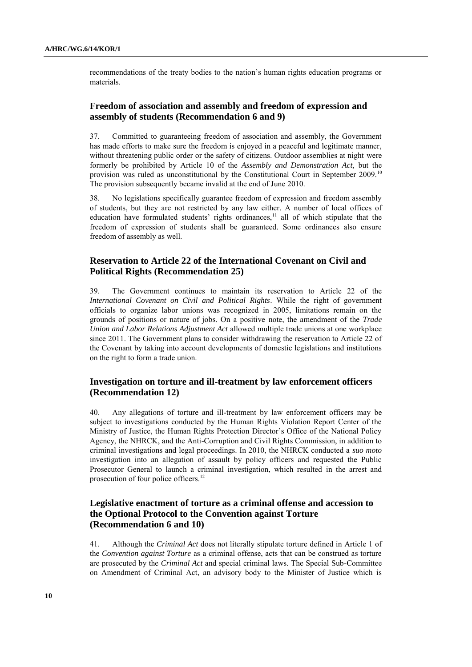recommendations of the treaty bodies to the nation"s human rights education programs or materials.

### **Freedom of association and assembly and freedom of expression and assembly of students (Recommendation 6 and 9)**

37. Committed to guaranteeing freedom of association and assembly, the Government has made efforts to make sure the freedom is enjoyed in a peaceful and legitimate manner, without threatening public order or the safety of citizens. Outdoor assemblies at night were formerly be prohibited by Article 10 of the *Assembly and Demonstration Act,* but the provision was ruled as unconstitutional by the Constitutional Court in September 2009.<sup>10</sup> The provision subsequently became invalid at the end of June 2010.

38. No legislations specifically guarantee freedom of expression and freedom assembly of students, but they are not restricted by any law either. A number of local offices of education have formulated students' rights ordinances, $11$  all of which stipulate that the freedom of expression of students shall be guaranteed. Some ordinances also ensure freedom of assembly as well.

### **Reservation to Article 22 of the International Covenant on Civil and Political Rights (Recommendation 25)**

39. The Government continues to maintain its reservation to Article 22 of the *International Covenant on Civil and Political Rights*. While the right of government officials to organize labor unions was recognized in 2005, limitations remain on the grounds of positions or nature of jobs. On a positive note, the amendment of the *Trade Union and Labor Relations Adjustment Act* allowed multiple trade unions at one workplace since 2011. The Government plans to consider withdrawing the reservation to Article 22 of the Covenant by taking into account developments of domestic legislations and institutions on the right to form a trade union.

### **Investigation on torture and ill-treatment by law enforcement officers (Recommendation 12)**

40. Any allegations of torture and ill-treatment by law enforcement officers may be subject to investigations conducted by the Human Rights Violation Report Center of the Ministry of Justice, the Human Rights Protection Director"s Office of the National Policy Agency, the NHRCK, and the Anti-Corruption and Civil Rights Commission, in addition to criminal investigations and legal proceedings. In 2010, the NHRCK conducted a *suo moto* investigation into an allegation of assault by policy officers and requested the Public Prosecutor General to launch a criminal investigation, which resulted in the arrest and prosecution of four police officers.<sup>12</sup>

# **Legislative enactment of torture as a criminal offense and accession to the Optional Protocol to the Convention against Torture (Recommendation 6 and 10)**

41. Although the *Criminal Act* does not literally stipulate torture defined in Article 1 of the *Convention against Torture* as a criminal offense, acts that can be construed as torture are prosecuted by the *Criminal Act* and special criminal laws. The Special Sub-Committee on Amendment of Criminal Act, an advisory body to the Minister of Justice which is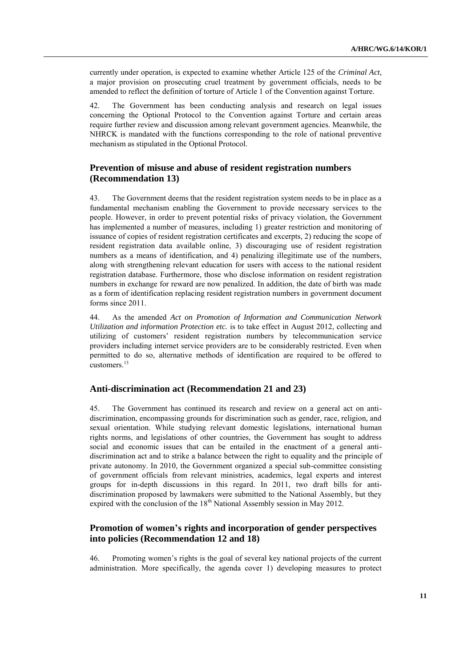currently under operation, is expected to examine whether Article 125 of the *Criminal Act,* a major provision on prosecuting cruel treatment by government officials, needs to be amended to reflect the definition of torture of Article 1 of the Convention against Torture.

42. The Government has been conducting analysis and research on legal issues concerning the Optional Protocol to the Convention against Torture and certain areas require further review and discussion among relevant government agencies. Meanwhile, the NHRCK is mandated with the functions corresponding to the role of national preventive mechanism as stipulated in the Optional Protocol.

### **Prevention of misuse and abuse of resident registration numbers (Recommendation 13)**

43. The Government deems that the resident registration system needs to be in place as a fundamental mechanism enabling the Government to provide necessary services to the people. However, in order to prevent potential risks of privacy violation, the Government has implemented a number of measures, including 1) greater restriction and monitoring of issuance of copies of resident registration certificates and excerpts, 2) reducing the scope of resident registration data available online, 3) discouraging use of resident registration numbers as a means of identification, and 4) penalizing illegitimate use of the numbers, along with strengthening relevant education for users with access to the national resident registration database. Furthermore, those who disclose information on resident registration numbers in exchange for reward are now penalized. In addition, the date of birth was made as a form of identification replacing resident registration numbers in government document forms since 2011.

44. As the amended *Act on Promotion of Information and Communication Network Utilization and information Protection etc.* is to take effect in August 2012, collecting and utilizing of customers" resident registration numbers by telecommunication service providers including internet service providers are to be considerably restricted. Even when permitted to do so, alternative methods of identification are required to be offered to customers.<sup>13</sup>

#### **Anti-discrimination act (Recommendation 21 and 23)**

45. The Government has continued its research and review on a general act on antidiscrimination, encompassing grounds for discrimination such as gender, race, religion, and sexual orientation. While studying relevant domestic legislations, international human rights norms, and legislations of other countries, the Government has sought to address social and economic issues that can be entailed in the enactment of a general antidiscrimination act and to strike a balance between the right to equality and the principle of private autonomy. In 2010, the Government organized a special sub-committee consisting of government officials from relevant ministries, academics, legal experts and interest groups for in-depth discussions in this regard. In 2011, two draft bills for antidiscrimination proposed by lawmakers were submitted to the National Assembly, but they expired with the conclusion of the 18<sup>th</sup> National Assembly session in May 2012.

### **Promotion of women's rights and incorporation of gender perspectives into policies (Recommendation 12 and 18)**

46. Promoting women"s rights is the goal of several key national projects of the current administration. More specifically, the agenda cover 1) developing measures to protect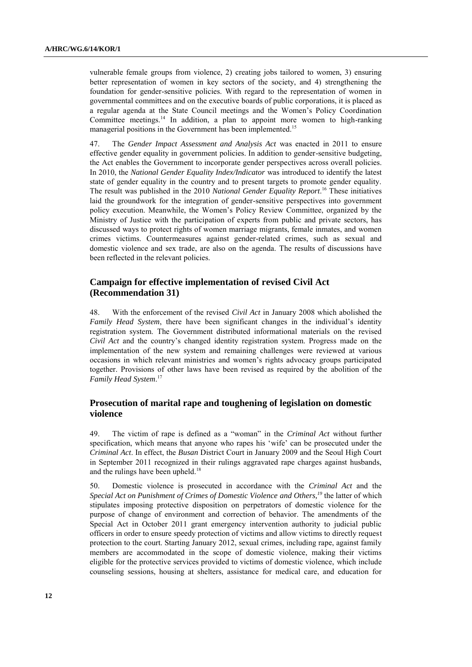vulnerable female groups from violence, 2) creating jobs tailored to women, 3) ensuring better representation of women in key sectors of the society, and 4) strengthening the foundation for gender-sensitive policies. With regard to the representation of women in governmental committees and on the executive boards of public corporations, it is placed as a regular agenda at the State Council meetings and the Women"s Policy Coordination Committee meetings.<sup>14</sup> In addition, a plan to appoint more women to high-ranking managerial positions in the Government has been implemented.<sup>15</sup>

47. The *Gender Impact Assessment and Analysis Act* was enacted in 2011 to ensure effective gender equality in government policies. In addition to gender-sensitive budgeting, the Act enables the Government to incorporate gender perspectives across overall policies. In 2010, the *National Gender Equality Index/Indicator* was introduced to identify the latest state of gender equality in the country and to present targets to promote gender equality. The result was published in the 2010 *National Gender Equality Report*. <sup>16</sup> These initiatives laid the groundwork for the integration of gender-sensitive perspectives into government policy execution. Meanwhile, the Women"s Policy Review Committee, organized by the Ministry of Justice with the participation of experts from public and private sectors, has discussed ways to protect rights of women marriage migrants, female inmates, and women crimes victims. Countermeasures against gender-related crimes, such as sexual and domestic violence and sex trade, are also on the agenda. The results of discussions have been reflected in the relevant policies.

### **Campaign for effective implementation of revised Civil Act (Recommendation 31)**

48. With the enforcement of the revised *Civil Act* in January 2008 which abolished the *Family Head System*, there have been significant changes in the individual's identity registration system. The Government distributed informational materials on the revised *Civil Act* and the country"s changed identity registration system. Progress made on the implementation of the new system and remaining challenges were reviewed at various occasions in which relevant ministries and women"s rights advocacy groups participated together. Provisions of other laws have been revised as required by the abolition of the *Family Head System*. 17

## **Prosecution of marital rape and toughening of legislation on domestic violence**

49. The victim of rape is defined as a "woman" in the *Criminal Act* without further specification, which means that anyone who rapes his "wife" can be prosecuted under the *Criminal Act*. In effect, the *Busan* District Court in January 2009 and the Seoul High Court in September 2011 recognized in their rulings aggravated rape charges against husbands, and the rulings have been upheld.<sup>18</sup>

50. Domestic violence is prosecuted in accordance with the *Criminal Act* and the *Special Act on Punishment of Crimes of Domestic Violence and Others,<sup>19</sup>* the latter of which stipulates imposing protective disposition on perpetrators of domestic violence for the purpose of change of environment and correction of behavior. The amendments of the Special Act in October 2011 grant emergency intervention authority to judicial public officers in order to ensure speedy protection of victims and allow victims to directly request protection to the court. Starting January 2012, sexual crimes, including rape, against family members are accommodated in the scope of domestic violence, making their victims eligible for the protective services provided to victims of domestic violence, which include counseling sessions, housing at shelters, assistance for medical care, and education for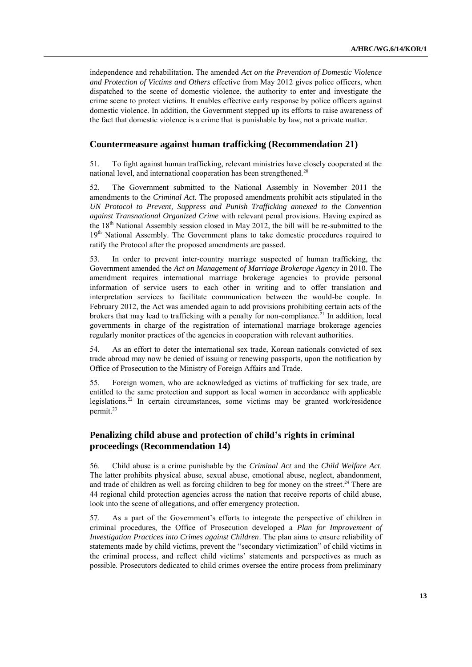independence and rehabilitation. The amended *Act on the Prevention of Domestic Violence and Protection of Victims and Others* effective from May 2012 gives police officers, when dispatched to the scene of domestic violence, the authority to enter and investigate the crime scene to protect victims. It enables effective early response by police officers against domestic violence. In addition, the Government stepped up its efforts to raise awareness of the fact that domestic violence is a crime that is punishable by law, not a private matter.

### **Countermeasure against human trafficking (Recommendation 21)**

51. To fight against human trafficking, relevant ministries have closely cooperated at the national level, and international cooperation has been strengthened.<sup>20</sup>

52. The Government submitted to the National Assembly in November 2011 the amendments to the *Criminal Act*. The proposed amendments prohibit acts stipulated in the *UN Protocol to Prevent, Suppress and Punish Trafficking annexed to the Convention against Transnational Organized Crime* with relevant penal provisions. Having expired as the  $18<sup>th</sup>$  National Assembly session closed in May 2012, the bill will be re-submitted to the 19<sup>th</sup> National Assembly. The Government plans to take domestic procedures required to ratify the Protocol after the proposed amendments are passed.

53. In order to prevent inter-country marriage suspected of human trafficking, the Government amended the *Act on Management of Marriage Brokerage Agency* in 2010. The amendment requires international marriage brokerage agencies to provide personal information of service users to each other in writing and to offer translation and interpretation services to facilitate communication between the would-be couple. In February 2012, the Act was amended again to add provisions prohibiting certain acts of the brokers that may lead to trafficking with a penalty for non-compliance.<sup>21</sup> In addition, local governments in charge of the registration of international marriage brokerage agencies regularly monitor practices of the agencies in cooperation with relevant authorities.

54. As an effort to deter the international sex trade, Korean nationals convicted of sex trade abroad may now be denied of issuing or renewing passports, upon the notification by Office of Prosecution to the Ministry of Foreign Affairs and Trade.

55. Foreign women, who are acknowledged as victims of trafficking for sex trade, are entitled to the same protection and support as local women in accordance with applicable legislations.<sup>22</sup> In certain circumstances, some victims may be granted work/residence permit.<sup>23</sup>

### **Penalizing child abuse and protection of child's rights in criminal proceedings (Recommendation 14)**

56. Child abuse is a crime punishable by the *Criminal Act* and the *Child Welfare Act*. The latter prohibits physical abuse, sexual abuse, emotional abuse, neglect, abandonment, and trade of children as well as forcing children to beg for money on the street.<sup>24</sup> There are 44 regional child protection agencies across the nation that receive reports of child abuse, look into the scene of allegations, and offer emergency protection.

57. As a part of the Government"s efforts to integrate the perspective of children in criminal procedures, the Office of Prosecution developed a *Plan for Improvement of Investigation Practices into Crimes against Children*. The plan aims to ensure reliability of statements made by child victims, prevent the "secondary victimization" of child victims in the criminal process, and reflect child victims' statements and perspectives as much as possible. Prosecutors dedicated to child crimes oversee the entire process from preliminary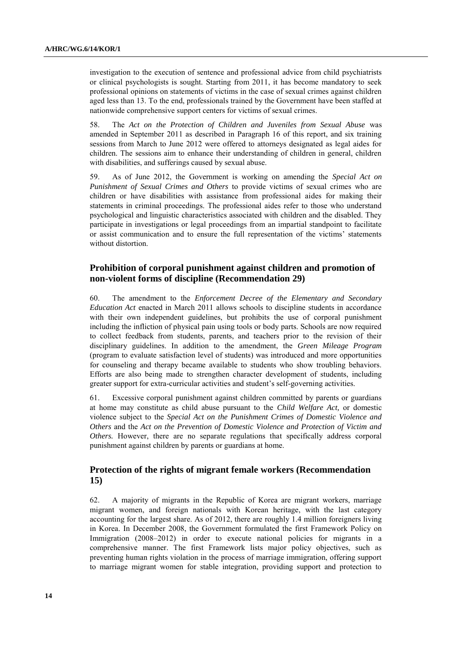investigation to the execution of sentence and professional advice from child psychiatrists or clinical psychologists is sought. Starting from 2011, it has become mandatory to seek professional opinions on statements of victims in the case of sexual crimes against children aged less than 13. To the end, professionals trained by the Government have been staffed at nationwide comprehensive support centers for victims of sexual crimes.

58. The *Act on the Protection of Children and Juveniles from Sexual Abuse* was amended in September 2011 as described in Paragraph 16 of this report, and six training sessions from March to June 2012 were offered to attorneys designated as legal aides for children. The sessions aim to enhance their understanding of children in general, children with disabilities, and sufferings caused by sexual abuse.

59. As of June 2012, the Government is working on amending the *Special Act on Punishment of Sexual Crimes and Others* to provide victims of sexual crimes who are children or have disabilities with assistance from professional aides for making their statements in criminal proceedings. The professional aides refer to those who understand psychological and linguistic characteristics associated with children and the disabled. They participate in investigations or legal proceedings from an impartial standpoint to facilitate or assist communication and to ensure the full representation of the victims" statements without distortion.

### **Prohibition of corporal punishment against children and promotion of non-violent forms of discipline (Recommendation 29)**

60. The amendment to the *Enforcement Decree of the Elementary and Secondary Education Act* enacted in March 2011 allows schools to discipline students in accordance with their own independent guidelines, but prohibits the use of corporal punishment including the infliction of physical pain using tools or body parts. Schools are now required to collect feedback from students, parents, and teachers prior to the revision of their disciplinary guidelines. In addition to the amendment, the *Green Mileage Program* (program to evaluate satisfaction level of students) was introduced and more opportunities for counseling and therapy became available to students who show troubling behaviors. Efforts are also being made to strengthen character development of students, including greater support for extra-curricular activities and student"s self-governing activities.

61. Excessive corporal punishment against children committed by parents or guardians at home may constitute as child abuse pursuant to the *Child Welfare Act,* or domestic violence subject to the *Special Act on the Punishment Crimes of Domestic Violence and Others* and the *Act on the Prevention of Domestic Violence and Protection of Victim and Others.* However, there are no separate regulations that specifically address corporal punishment against children by parents or guardians at home.

### **Protection of the rights of migrant female workers (Recommendation 15)**

62. A majority of migrants in the Republic of Korea are migrant workers, marriage migrant women, and foreign nationals with Korean heritage, with the last category accounting for the largest share. As of 2012, there are roughly 1.4 million foreigners living in Korea. In December 2008, the Government formulated the first Framework Policy on Immigration (2008–2012) in order to execute national policies for migrants in a comprehensive manner. The first Framework lists major policy objectives, such as preventing human rights violation in the process of marriage immigration, offering support to marriage migrant women for stable integration, providing support and protection to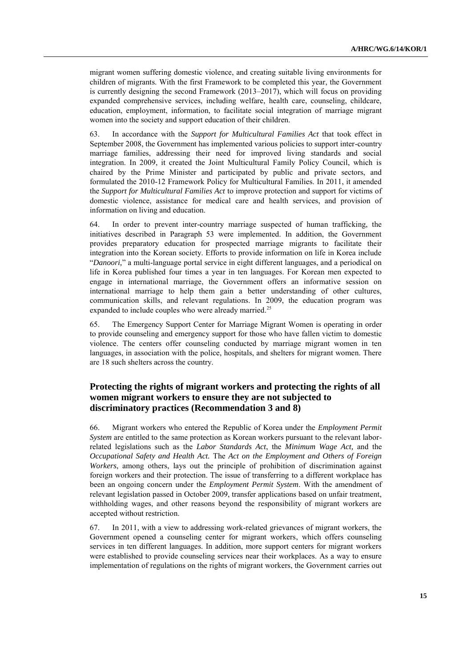migrant women suffering domestic violence, and creating suitable living environments for children of migrants. With the first Framework to be completed this year, the Government is currently designing the second Framework (2013–2017), which will focus on providing expanded comprehensive services, including welfare, health care, counseling, childcare, education, employment, information, to facilitate social integration of marriage migrant women into the society and support education of their children.

63. In accordance with the *Support for Multicultural Families Act* that took effect in September 2008, the Government has implemented various policies to support inter-country marriage families, addressing their need for improved living standards and social integration. In 2009, it created the Joint Multicultural Family Policy Council, which is chaired by the Prime Minister and participated by public and private sectors, and formulated the 2010-12 Framework Policy for Multicultural Families. In 2011, it amended the *Support for Multicultural Families Act* to improve protection and support for victims of domestic violence, assistance for medical care and health services, and provision of information on living and education.

64. In order to prevent inter-country marriage suspected of human trafficking, the initiatives described in Paragraph 53 were implemented. In addition, the Government provides preparatory education for prospected marriage migrants to facilitate their integration into the Korean society. Efforts to provide information on life in Korea include "*Danoori,*" a multi-language portal service in eight different languages, and a periodical on life in Korea published four times a year in ten languages. For Korean men expected to engage in international marriage, the Government offers an informative session on international marriage to help them gain a better understanding of other cultures, communication skills, and relevant regulations. In 2009, the education program was expanded to include couples who were already married.<sup>25</sup>

65. The Emergency Support Center for Marriage Migrant Women is operating in order to provide counseling and emergency support for those who have fallen victim to domestic violence. The centers offer counseling conducted by marriage migrant women in ten languages, in association with the police, hospitals, and shelters for migrant women. There are 18 such shelters across the country.

## **Protecting the rights of migrant workers and protecting the rights of all women migrant workers to ensure they are not subjected to discriminatory practices (Recommendation 3 and 8)**

66. Migrant workers who entered the Republic of Korea under the *Employment Permit System* are entitled to the same protection as Korean workers pursuant to the relevant laborrelated legislations such as the *Labor Standards Act*, the *Minimum Wage Act,* and the *Occupational Safety and Health Act.* The *Act on the Employment and Others of Foreign Workers*, among others, lays out the principle of prohibition of discrimination against foreign workers and their protection. The issue of transferring to a different workplace has been an ongoing concern under the *Employment Permit System*. With the amendment of relevant legislation passed in October 2009, transfer applications based on unfair treatment, withholding wages, and other reasons beyond the responsibility of migrant workers are accepted without restriction.

67. In 2011, with a view to addressing work-related grievances of migrant workers, the Government opened a counseling center for migrant workers, which offers counseling services in ten different languages. In addition, more support centers for migrant workers were established to provide counseling services near their workplaces. As a way to ensure implementation of regulations on the rights of migrant workers, the Government carries out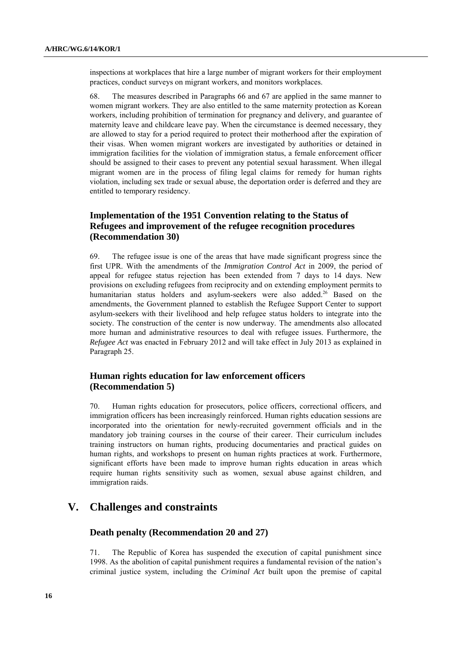inspections at workplaces that hire a large number of migrant workers for their employment practices, conduct surveys on migrant workers, and monitors workplaces.

68. The measures described in Paragraphs 66 and 67 are applied in the same manner to women migrant workers. They are also entitled to the same maternity protection as Korean workers, including prohibition of termination for pregnancy and delivery, and guarantee of maternity leave and childcare leave pay. When the circumstance is deemed necessary, they are allowed to stay for a period required to protect their motherhood after the expiration of their visas. When women migrant workers are investigated by authorities or detained in immigration facilities for the violation of immigration status, a female enforcement officer should be assigned to their cases to prevent any potential sexual harassment. When illegal migrant women are in the process of filing legal claims for remedy for human rights violation, including sex trade or sexual abuse, the deportation order is deferred and they are entitled to temporary residency.

# **Implementation of the 1951 Convention relating to the Status of Refugees and improvement of the refugee recognition procedures (Recommendation 30)**

69. The refugee issue is one of the areas that have made significant progress since the first UPR. With the amendments of the *Immigration Control Act* in 2009, the period of appeal for refugee status rejection has been extended from 7 days to 14 days. New provisions on excluding refugees from reciprocity and on extending employment permits to humanitarian status holders and asylum-seekers were also added.<sup>26</sup> Based on the amendments, the Government planned to establish the Refugee Support Center to support asylum-seekers with their livelihood and help refugee status holders to integrate into the society. The construction of the center is now underway. The amendments also allocated more human and administrative resources to deal with refugee issues. Furthermore, the *Refugee Act* was enacted in February 2012 and will take effect in July 2013 as explained in Paragraph 25.

### **Human rights education for law enforcement officers (Recommendation 5)**

70. Human rights education for prosecutors, police officers, correctional officers, and immigration officers has been increasingly reinforced. Human rights education sessions are incorporated into the orientation for newly-recruited government officials and in the mandatory job training courses in the course of their career. Their curriculum includes training instructors on human rights, producing documentaries and practical guides on human rights, and workshops to present on human rights practices at work. Furthermore, significant efforts have been made to improve human rights education in areas which require human rights sensitivity such as women, sexual abuse against children, and immigration raids.

# **V. Challenges and constraints**

### **Death penalty (Recommendation 20 and 27)**

71. The Republic of Korea has suspended the execution of capital punishment since 1998. As the abolition of capital punishment requires a fundamental revision of the nation"s criminal justice system, including the *Criminal Act* built upon the premise of capital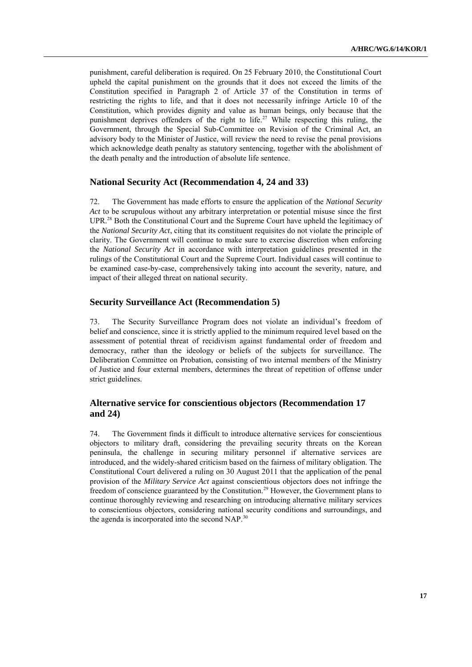punishment, careful deliberation is required. On 25 February 2010, the Constitutional Court upheld the capital punishment on the grounds that it does not exceed the limits of the Constitution specified in Paragraph 2 of Article 37 of the Constitution in terms of restricting the rights to life, and that it does not necessarily infringe Article 10 of the Constitution, which provides dignity and value as human beings, only because that the punishment deprives offenders of the right to life.<sup>27</sup> While respecting this ruling, the Government, through the Special Sub-Committee on Revision of the Criminal Act, an advisory body to the Minister of Justice, will review the need to revise the penal provisions which acknowledge death penalty as statutory sentencing, together with the abolishment of the death penalty and the introduction of absolute life sentence.

#### **National Security Act (Recommendation 4, 24 and 33)**

72. The Government has made efforts to ensure the application of the *National Security Act* to be scrupulous without any arbitrary interpretation or potential misuse since the first UPR.<sup>28</sup> Both the Constitutional Court and the Supreme Court have upheld the legitimacy of the *National Security Act*, citing that its constituent requisites do not violate the principle of clarity. The Government will continue to make sure to exercise discretion when enforcing the *National Security Act* in accordance with interpretation guidelines presented in the rulings of the Constitutional Court and the Supreme Court. Individual cases will continue to be examined case-by-case, comprehensively taking into account the severity, nature, and impact of their alleged threat on national security.

#### **Security Surveillance Act (Recommendation 5)**

73. The Security Surveillance Program does not violate an individual"s freedom of belief and conscience, since it is strictly applied to the minimum required level based on the assessment of potential threat of recidivism against fundamental order of freedom and democracy, rather than the ideology or beliefs of the subjects for surveillance. The Deliberation Committee on Probation, consisting of two internal members of the Ministry of Justice and four external members, determines the threat of repetition of offense under strict guidelines.

## **Alternative service for conscientious objectors (Recommendation 17 and 24)**

74. The Government finds it difficult to introduce alternative services for conscientious objectors to military draft, considering the prevailing security threats on the Korean peninsula, the challenge in securing military personnel if alternative services are introduced, and the widely-shared criticism based on the fairness of military obligation. The Constitutional Court delivered a ruling on 30 August 2011 that the application of the penal provision of the *Military Service Act* against conscientious objectors does not infringe the freedom of conscience guaranteed by the Constitution.<sup>29</sup> However, the Government plans to continue thoroughly reviewing and researching on introducing alternative military services to conscientious objectors, considering national security conditions and surroundings, and the agenda is incorporated into the second NAP.<sup>30</sup>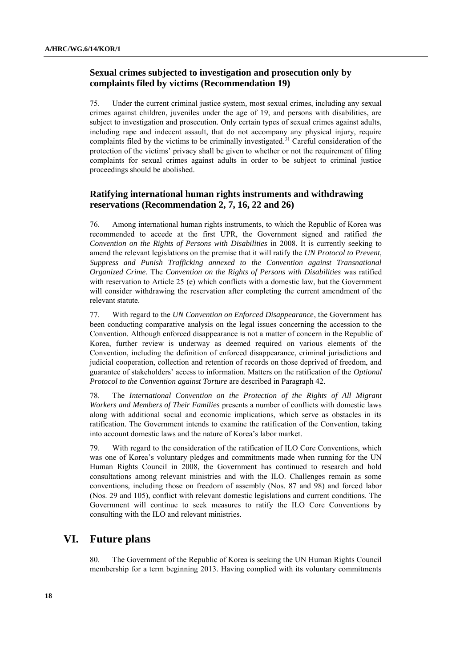### **Sexual crimes subjected to investigation and prosecution only by complaints filed by victims (Recommendation 19)**

75. Under the current criminal justice system*,* most sexual crimes, including any sexual crimes against children, juveniles under the age of 19, and persons with disabilities, are subject to investigation and prosecution. Only certain types of sexual crimes against adults, including rape and indecent assault, that do not accompany any physical injury, require complaints filed by the victims to be criminally investigated.<sup>31</sup> Careful consideration of the protection of the victims' privacy shall be given to whether or not the requirement of filing complaints for sexual crimes against adults in order to be subject to criminal justice proceedings should be abolished.

### **Ratifying international human rights instruments and withdrawing reservations (Recommendation 2, 7, 16, 22 and 26)**

76. Among international human rights instruments, to which the Republic of Korea was recommended to accede at the first UPR, the Government signed and ratified *the Convention on the Rights of Persons with Disabilities* in 2008. It is currently seeking to amend the relevant legislations on the premise that it will ratify the *UN Protocol to Prevent, Suppress and Punish Trafficking annexed to the Convention against Transnational Organized Crime*. The *Convention on the Rights of Persons with Disabilities* was ratified with reservation to Article 25 (e) which conflicts with a domestic law, but the Government will consider withdrawing the reservation after completing the current amendment of the relevant statute.

77. With regard to the *UN Convention on Enforced Disappearance*, the Government has been conducting comparative analysis on the legal issues concerning the accession to the Convention. Although enforced disappearance is not a matter of concern in the Republic of Korea, further review is underway as deemed required on various elements of the Convention, including the definition of enforced disappearance, criminal jurisdictions and judicial cooperation, collection and retention of records on those deprived of freedom, and guarantee of stakeholders" access to information. Matters on the ratification of the *Optional Protocol to the Convention against Torture* are described in Paragraph 42.

78. The *International Convention on the Protection of the Rights of All Migrant Workers and Members of Their Families* presents a number of conflicts with domestic laws along with additional social and economic implications, which serve as obstacles in its ratification. The Government intends to examine the ratification of the Convention, taking into account domestic laws and the nature of Korea"s labor market.

79. With regard to the consideration of the ratification of ILO Core Conventions, which was one of Korea"s voluntary pledges and commitments made when running for the UN Human Rights Council in 2008, the Government has continued to research and hold consultations among relevant ministries and with the ILO. Challenges remain as some conventions, including those on freedom of assembly (Nos. 87 and 98) and forced labor (Nos. 29 and 105), conflict with relevant domestic legislations and current conditions. The Government will continue to seek measures to ratify the ILO Core Conventions by consulting with the ILO and relevant ministries.

# **VI. Future plans**

80. The Government of the Republic of Korea is seeking the UN Human Rights Council membership for a term beginning 2013. Having complied with its voluntary commitments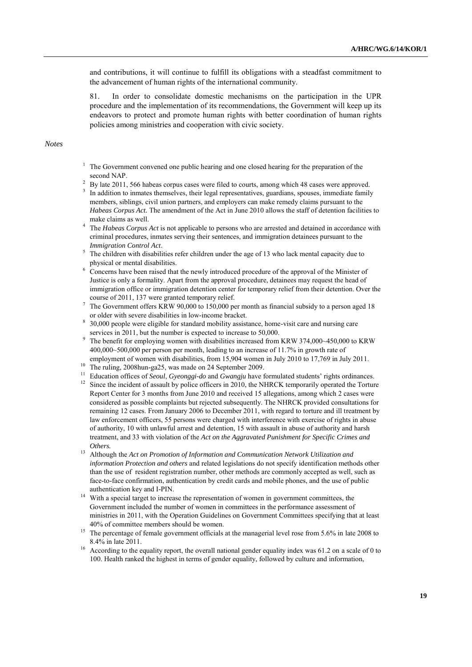and contributions, it will continue to fulfill its obligations with a steadfast commitment to the advancement of human rights of the international community.

81. In order to consolidate domestic mechanisms on the participation in the UPR procedure and the implementation of its recommendations, the Government will keep up its endeavors to protect and promote human rights with better coordination of human rights policies among ministries and cooperation with civic society.

#### *Notes*

- <sup>1</sup> The Government convened one public hearing and one closed hearing for the preparation of the second NAP.
- <sup>2</sup> By late 2011, 566 habeas corpus cases were filed to courts, among which 48 cases were approved. <sup>3</sup> In addition to inmates themselves, their legal representatives, guardians, spouses, immediate family members, siblings, civil union partners, and employers can make remedy claims pursuant to the *Habeas Corpus Act.* The amendment of the Act in June 2010 allows the staff of detention facilities to make claims as well.
- <sup>4</sup> The *Habeas Corpus Act* is not applicable to persons who are arrested and detained in accordance with criminal procedures, inmates serving their sentences, and immigration detainees pursuant to the *Immigration Control Act*.
- <sup>5</sup> The children with disabilities refer children under the age of 13 who lack mental capacity due to physical or mental disabilities.
- <sup>6</sup> Concerns have been raised that the newly introduced procedure of the approval of the Minister of Justice is only a formality. Apart from the approval procedure, detainees may request the head of immigration office or immigration detention center for temporary relief from their detention. Over the course of 2011, 137 were granted temporary relief.
- <sup>7</sup> The Government offers KRW 90,000 to 150,000 per month as financial subsidy to a person aged 18 or older with severe disabilities in low-income bracket.
- <sup>8</sup> 30,000 people were eligible for standard mobility assistance, home-visit care and nursing care services in 2011, but the number is expected to increase to 50,000.
- <sup>9</sup> The benefit for employing women with disabilities increased from KRW 374,000~450,000 to KRW 400,000~500,000 per person per month, leading to an increase of 11.7% in growth rate of employment of women with disabilities, from 15,904 women in July 2010 to 17,769 in July 2011.
- <sup>10</sup> The ruling, 2008hun-ga25, was made on 24 September 2009.
- <sup>11</sup> Education offices of *Seoul*, *Gyeonggi-do* and *Gwangju* have formulated students' rights ordinances.
- $12$  Since the incident of assault by police officers in 2010, the NHRCK temporarily operated the Torture Report Center for 3 months from June 2010 and received 15 allegations, among which 2 cases were considered as possible complaints but rejected subsequently. The NHRCK provided consultations for remaining 12 cases. From January 2006 to December 2011, with regard to torture and ill treatment by law enforcement officers, 55 persons were charged with interference with exercise of rights in abuse of authority, 10 with unlawful arrest and detention, 15 with assault in abuse of authority and harsh treatment, and 33 with violation of the *Act on the Aggravated Punishment for Specific Crimes and Others.*
- <sup>13</sup> Although the *Act on Promotion of Information and Communication Network Utilization and information Protection and others* and related legislations do not specify identification methods other than the use of resident registration number, other methods are commonly accepted as well, such as face-to-face confirmation, authentication by credit cards and mobile phones, and the use of public authentication key and I-PIN.
- <sup>14</sup> With a special target to increase the representation of women in government committees, the Government included the number of women in committees in the performance assessment of ministries in 2011, with the Operation Guidelines on Government Committees specifying that at least 40% of committee members should be women.
- <sup>15</sup> The percentage of female government officials at the managerial level rose from 5.6% in late 2008 to 8.4% in late 2011.
- <sup>16</sup> According to the equality report, the overall national gender equality index was 61.2 on a scale of 0 to 100. Health ranked the highest in terms of gender equality, followed by culture and information,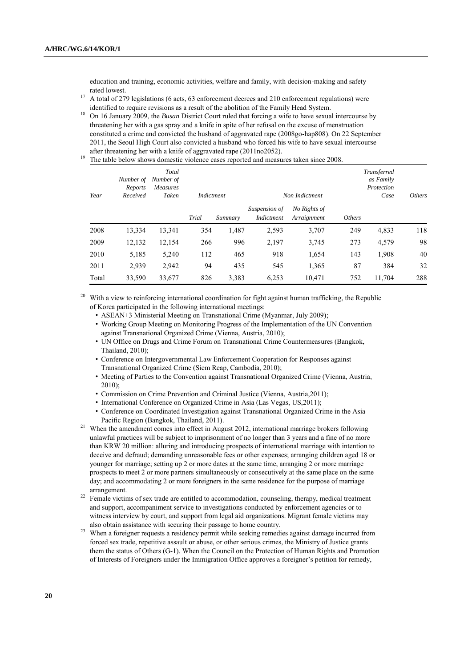education and training, economic activities, welfare and family, with decision-making and safety rated lowest.

<sup>17</sup> A total of 279 legislations (6 acts, 63 enforcement decrees and 210 enforcement regulations) were identified to require revisions as a result of the abolition of the Family Head System.

<sup>18</sup> On 16 January 2009, the *Busan* District Court ruled that forcing a wife to have sexual intercourse by threatening her with a gas spray and a knife in spite of her refusal on the excuse of menstruation constituted a crime and convicted the husband of aggravated rape (2008go-hap808). On 22 September 2011, the Seoul High Court also convicted a husband who forced his wife to have sexual intercourse after threatening her with a knife of aggravated rape (2011no2052).

<sup>19</sup> The table below shows domestic violence cases reported and measures taken since 2008.

| Year  | Number of<br>Reports<br>Received | Total<br>Number of<br>Measures<br>Taken | Indictment |         |                             | Non Indictment              |                      | Transferred<br>as Family<br>Protection<br>Case |     |
|-------|----------------------------------|-----------------------------------------|------------|---------|-----------------------------|-----------------------------|----------------------|------------------------------------------------|-----|
|       |                                  |                                         | Trial      | Summary | Suspension of<br>Indictment | No Rights of<br>Arraignment | <i><b>Others</b></i> |                                                |     |
| 2008  | 13,334                           | 13,341                                  | 354        | 1,487   | 2,593                       | 3,707                       | 249                  | 4,833                                          | 118 |
| 2009  | 12,132                           | 12,154                                  | 266        | 996     | 2,197                       | 3,745                       | 273                  | 4,579                                          | 98  |
| 2010  | 5,185                            | 5,240                                   | 112        | 465     | 918                         | 1,654                       | 143                  | 1,908                                          | 40  |
| 2011  | 2,939                            | 2,942                                   | 94         | 435     | 545                         | 1,365                       | 87                   | 384                                            | 32  |
| Total | 33,590                           | 33,677                                  | 826        | 3,383   | 6,253                       | 10,471                      | 752                  | 11,704                                         | 288 |

<sup>20</sup> With a view to reinforcing international coordination for fight against human trafficking, the Republic of Korea participated in the following international meetings:

- ASEAN+3 Ministerial Meeting on Transnational Crime (Myanmar, July 2009);
- Working Group Meeting on Monitoring Progress of the Implementation of the UN Convention against Transnational Organized Crime (Vienna, Austria, 2010);
- UN Office on Drugs and Crime Forum on Transnational Crime Countermeasures (Bangkok, Thailand, 2010);
- Conference on Intergovernmental Law Enforcement Cooperation for Responses against Transnational Organized Crime (Siem Reap, Cambodia, 2010);
- Meeting of Parties to the Convention against Transnational Organized Crime (Vienna, Austria, 2010);
- Commission on Crime Prevention and Criminal Justice (Vienna, Austria,2011);
- International Conference on Organized Crime in Asia (Las Vegas, US,2011);
- Conference on Coordinated Investigation against Transnational Organized Crime in the Asia Pacific Region (Bangkok, Thailand, 2011).
- <sup>21</sup> When the amendment comes into effect in August 2012, international marriage brokers following unlawful practices will be subject to imprisonment of no longer than 3 years and a fine of no more than KRW 20 million: alluring and introducing prospects of international marriage with intention to deceive and defraud; demanding unreasonable fees or other expenses; arranging children aged 18 or younger for marriage; setting up 2 or more dates at the same time, arranging 2 or more marriage prospects to meet 2 or more partners simultaneously or consecutively at the same place on the same day; and accommodating 2 or more foreigners in the same residence for the purpose of marriage arrangement.
- <sup>22</sup> Female victims of sex trade are entitled to accommodation, counseling, therapy, medical treatment and support, accompaniment service to investigations conducted by enforcement agencies or to witness interview by court, and support from legal aid organizations. Migrant female victims may also obtain assistance with securing their passage to home country.
- <sup>23</sup> When a foreigner requests a residency permit while seeking remedies against damage incurred from forced sex trade, repetitive assault or abuse, or other serious crimes, the Ministry of Justice grants them the status of Others (G-1). When the Council on the Protection of Human Rights and Promotion of Interests of Foreigners under the Immigration Office approves a foreigner"s petition for remedy,